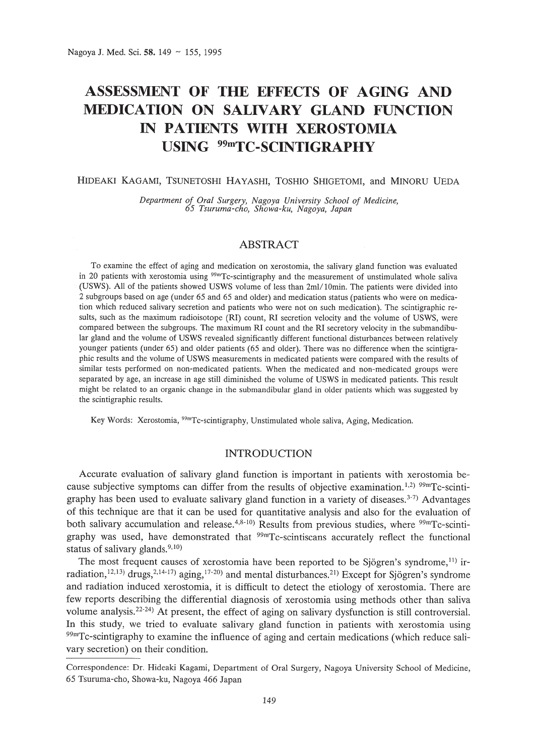# **ASSESSMENT OF THE EFFECTS OF AGING AND MEDICATION ON SALIVARY GLAND FUNCTION IN PATIENTS WITH XEROSTOMIA USING 99mTC-SCINTIGRAPHY**

# HIDEAKI KAGAMI, TSUNETOSHI HAYASHI, TOSHIO SHlGETOMI, and MINORU VEDA

*Department of Oral Surgery, Nagoya University School of Medicine, 65 Tsuruma-cho, Showa-ku, Nagoya, Japan*

# ABSTRACT

To examine the effect of aging and medication on xerostomia, the salivary gland function was evaluated in 20 patients with xerostomia using 99mTc-scintigraphy and the measurement of unstimulated whole saliva (USWS). All of the patients showed USWS volume of less than 2ml/10min. The patients were divided into 2 subgroups based on age (under 65 and 65 and older) and medication status (patients who were on medication which reduced salivary secretion and patients who were not on such medication). The scintigraphic results, such as the maximum radioisotope (RI) count, RI secretion velocity and the volume of USWS, were compared between the subgroups. The maximum RI count and the RI secretory velocity in the submandibular gland and the volume of USWS revealed significantly different functional disturbances between relatively younger patients (under 65) and older patients (65 and older). There was no difference when the scintigraphic results and the volume of USWS measurements in medicated patients were compared with the results of similar tests performed on non-medicated patients. When the medicated and non-medicated groups were separated by age, an increase in age still diminished the volume of USWS in medicated patients. This result might be related to an organic change in the submandibular gland in older patients which was suggested by the scintigraphic results.

Key Words: Xerostomia, 99mTc-scintigraphy, Unstimulated whole saliva, Aging, Medication.

# INTRODUCTION

Accurate evaluation of salivary gland function is important in patients with xerostomia because subjective symptoms can differ from the results of objective examination.<sup>1,2) 99m</sup>Tc-scintigraphy has been used to evaluate salivary gland function in a variety of diseases.<sup>3-7)</sup> Advantages of this technique are that it can be used for quantitative analysis and also for the evaluation of both salivary accumulation and release.<sup>4,8-10</sup>) Results from previous studies, where  $99mTc$ -scintigraphy was used, have demonstrated that 99mTc-scintiscans accurately reflect the functional status of salivary glands. $9,10$ )

The most frequent causes of xerostomia have been reported to be Sjögren's syndrome, $^{11)}$  irradiation,<sup>12,13)</sup> drugs,<sup>2,14-17</sup>) aging,<sup>17-20</sup> and mental disturbances.<sup>21</sup> Except for Sjögren's syndrome and radiation induced xerostomia, it is difficult to detect the etiology of xerostomia. There are few reports describing the differential diagnosis of xerostomia using methods other than saliva volume analysis.<sup>22-24</sup>) At present, the effect of aging on salivary dysfunction is still controversial. In this study, we tried to evaluate salivary gland function in patients with xerostomia using  $99m$ Tc-scintigraphy to examine the influence of aging and certain medications (which reduce salivary secretion) on their condition.

Correspondence: Dr. Hideaki Kagami, Department of Oral Surgery, Nagoya University School of Medicine, 65 Tsuruma-cho, Showa-ku, Nagoya 466 Japan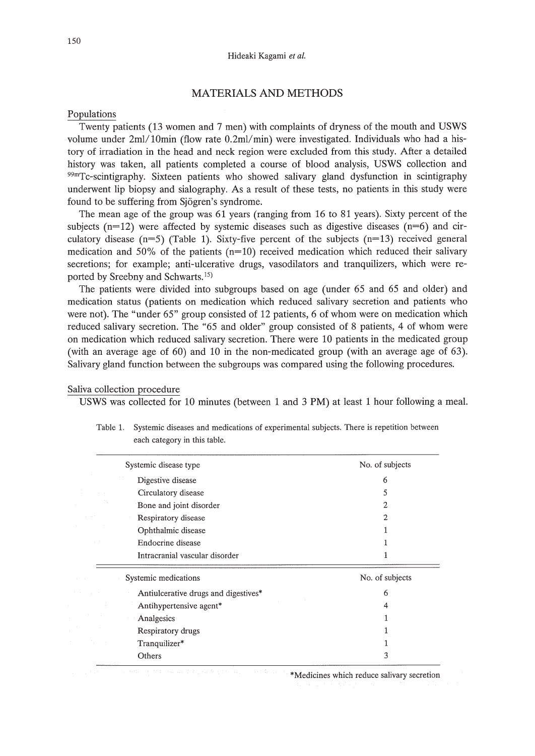# MATERIALS AND METHODS

## Populations

Twenty patients (13 women and 7 men) with complaints of dryness of the mouth and USWS volume under  $2ml/10min$  (flow rate  $0.2ml/min$ ) were investigated. Individuals who had a history of irradiation in the head and neck region were excluded from this study. After a detailed history was taken, all patients completed a course of blood analysis, USWS collection and 99mTc-scintigraphy. Sixteen patients who showed salivary gland dysfunction in scintigraphy underwent lip biopsy and sialography. As a result of these tests, no patients in this study were found to be suffering from Sjogren's syndrome.

The mean age of the group was 61 years (ranging from 16 to 81 years). Sixty percent of the subjects ( $n=12$ ) were affected by systemic diseases such as digestive diseases ( $n=6$ ) and circulatory disease  $(n=5)$  (Table 1). Sixty-five percent of the subjects  $(n=13)$  received general medication and 50% of the patients  $(n=10)$  received medication which reduced their salivary secretions; for example; anti-ulcerative drugs, vasodilators and tranquilizers, which were reported by Sreebny and Schwarts. 15)

The patients were divided into subgroups based on age (under 65 and 65 and older) and medication status (patients on medication which reduced salivary secretion and patients who were not). The "under 65" group consisted of 12 patients, 6 of whom were on medication which reduced salivary secretion. The "65 and older" group consisted of 8 patients, 4 of whom were on medication which reduced salivary secretion. There were 10 patients in the medicated group (with an average age of 60) and 10 in the non-medicated group (with an average age of 63). Salivary gland function between the subgroups was compared using the following procedures.

# Saliva collection procedure

USWS was collected for 10 minutes (between 1 and 3 PM) at least 1 hour following a meal.

| Systemic disease type                | No. of subjects |
|--------------------------------------|-----------------|
| Digestive disease                    | 6               |
| Circulatory disease                  | 5               |
| Bone and joint disorder              | $\overline{c}$  |
| Respiratory disease                  | 2               |
| Ophthalmic disease                   |                 |
| Endocrine disease                    |                 |
| Intracranial vascular disorder       | 1               |
| Systemic medications                 | No. of subjects |
| Antiulcerative drugs and digestives* | 6               |
| Antihypertensive agent*              | 4               |
| Analgesics                           |                 |
| Respiratory drugs                    |                 |
| Tranquilizer*                        |                 |
| Others                               | 3               |
|                                      |                 |

Table 1. Systemic diseases and medications of experimental subjects. There is repetition between each category in this table.

\*Medicines which reduce salivary secretion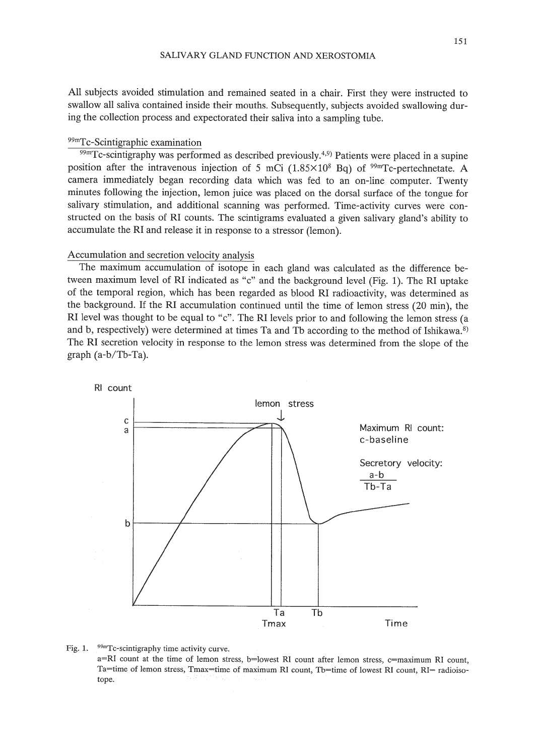All subjects avoided stimulation and remained seated in a chair. First they were instructed to swallow all saliva contained inside their mouths. Subsequently, subjects avoided swallowing during the collection process and expectorated their saliva into a sampling tube.

# 99mTc-Scintigraphic examination

 $99m$ Tc-scintigraphy was performed as described previously.<sup>4,9)</sup> Patients were placed in a supine position after the intravenous injection of 5 mCi  $(1.85\times10^{8}$  Bq) of <sup>99m</sup>Tc-pertechnetate. A camera immediately began recording data which was fed to an on-line computer. Twenty minutes following the injection, lemon juice was placed on the dorsal surface of the tongue for salivary stimulation, and additional scanning was performed. Time-activity curves were constructed on the basis of RI counts. The scintigrams evaluated a given salivary gland's ability to accumulate the RI and release it in response to a stressor (lemon).

## Accumulation and secretion velocity analysis

The maximum accumulation of isotope in each gland was calculated as the difference between maximum level of RI indicated as "c" and the background level (Fig. 1). The RI uptake of the temporal region, which has been regarded as blood RI radioactivity, was determined as the background. If the RI accumulation continued until the time of lemon stress (20 min), the RI level was thought to be equal to "c". The RI levels prior to and following the lemon stress (a and b, respectively) were determined at times Ta and Tb according to the method of Ishikawa.<sup>8)</sup> The **RI** secretion velocity in response to the lemon stress was determined from the slope of the graph (a-b/Tb-Ta).



#### Fig. 1. 99mTc-scintigraphy time activity curve.

a=RI count at the time of lemon stress, b=lowest RI count after lemon stress, c=maximum RI count, Ta=time of lemon stress, Tmax=time of maximum RI count, Tb=time of lowest RI count, RI= radioisotope.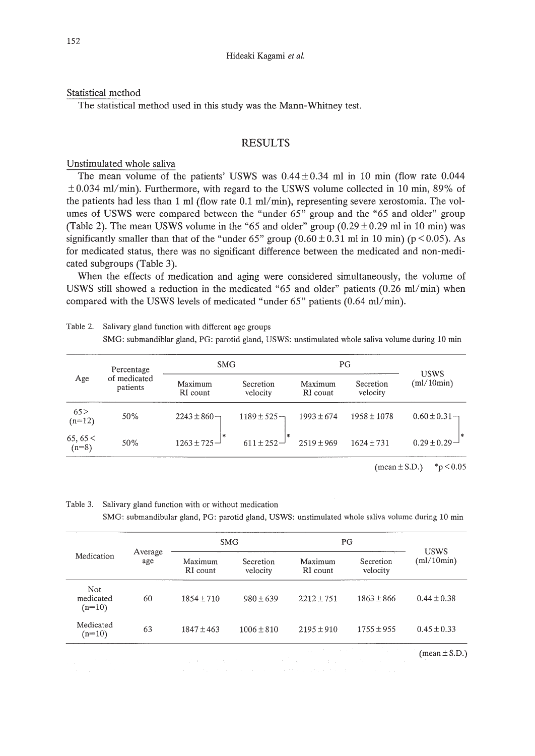Statistical method

The statistical method used in this study was the Mann-Whitney test.

# RESULTS

Unstimulated whole saliva

The mean volume of the patients' USWS was  $0.44 \pm 0.34$  ml in 10 min (flow rate 0.044  $\pm 0.034$  ml/min). Furthermore, with regard to the USWS volume collected in 10 min, 89% of the patients had less than 1 ml (flow rate  $0.1$  ml/min), representing severe xerostomia. The volumes of USWS were compared between the "under 65" group and the "65 and older" group (Table 2). The mean USWS volume in the "65 and older" group  $(0.29 \pm 0.29 \text{ ml in } 10 \text{ min})$  was significantly smaller than that of the "under 65" group  $(0.60 \pm 0.31 \text{ ml in } 10 \text{ min})$  (p < 0.05). As for medicated status, there was no significant difference between the medicated and non-medicated subgroups (Table 3).

When the effects of medication and aging were considered simultaneously, the volume of USWS still showed a reduction in the medicated "65 and older" patients  $(0.26 \text{ ml/min})$  when compared with the USWS levels of medicated "under  $65$ " patients  $(0.64 \text{ ml/min})$ .

| Age               | Percentage<br>of medicated<br>patients | <b>SMG</b>               |                       | PG                  |                       |                           |
|-------------------|----------------------------------------|--------------------------|-----------------------|---------------------|-----------------------|---------------------------|
|                   |                                        | Maximum<br>RI count      | Secretion<br>velocity | Maximum<br>RI count | Secretion<br>velocity | <b>USWS</b><br>(ml/10min) |
| 65 ><br>$(n=12)$  | 50%                                    | $2243 \pm 860$           | $1189 \pm 525 -$      | $1993 \pm 674$      | $1958 \pm 1078$       | $0.60 \pm 0.31$           |
| 65,65<<br>$(n=8)$ | 50%                                    | $\ast$<br>$1263 \pm 725$ | l ak<br>$611 \pm 252$ | $2519 \pm 969$      | $1624 \pm 731$        | $0.29 \pm 0.29$ –         |

Table 2. Salivary gland function with different age groups SMG: submandiblar gland, PG: parotid gland, USWS: unstimulated whole saliva volume during 10 min

 $(\text{mean} \pm S.D.)$  \*p < 0.05

Table 3. Salivary gland function with or without medication SMG: submandibular gland, PO: parotid gland, USWS: unstimulated whole saliva volume during 10 min

| Medication                               | Average<br>age | <b>SMG</b>          |                                                   | PG                             |                       |                           |
|------------------------------------------|----------------|---------------------|---------------------------------------------------|--------------------------------|-----------------------|---------------------------|
|                                          |                | Maximum<br>RI count | Secretion<br>velocity                             | Maximum<br>RI count            | Secretion<br>velocity | <b>USWS</b><br>(ml/10min) |
| <b>Not</b><br>medicated<br>$(n=10)$      | 60             | $1854 \pm 710$      | $980 \pm 639$                                     | $2212 \pm 751$                 | $1863 \pm 866$        | $0.44 \pm 0.38$           |
| Medicated<br>$(n=10)$                    | 63             | $1847 \pm 463$      | $1006 \pm 810$                                    | $2195 \pm 910$                 | $1755 + 955$          | $0.45 \pm 0.33$           |
| and the company of the<br>$\alpha = 100$ |                |                     | and the second term of the second control and the | and the control of the control | and the control of    | $(\text{mean} \pm S.D.)$  |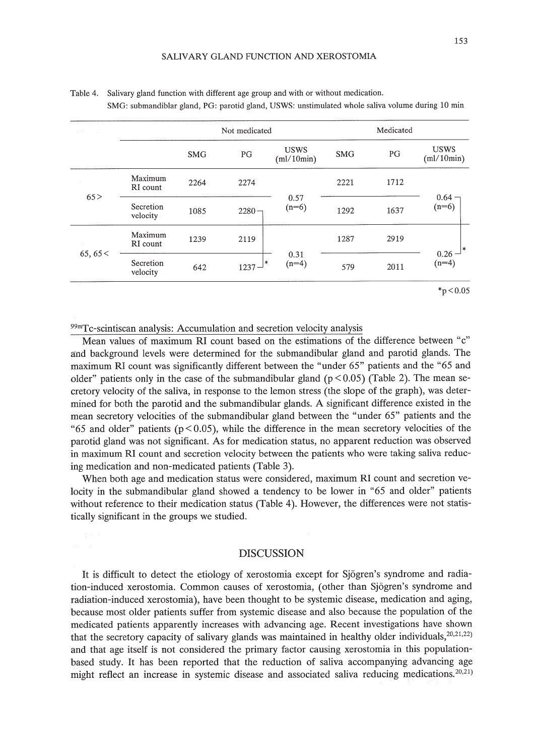| and the con- | Not medicated         |            |                 | Medicated                 |            |      |                           |
|--------------|-----------------------|------------|-----------------|---------------------------|------------|------|---------------------------|
|              |                       | <b>SMG</b> | PG              | <b>USWS</b><br>(ml/10min) | <b>SMG</b> | PG   | <b>USWS</b><br>(ml/10min) |
| 65 >         | Maximum<br>RI count   | 2264       | 2274            |                           | 2221       | 1712 | $0.64 -$<br>$(n=6)$       |
|              | Secretion<br>velocity | 1085       | $2280 -$        | 0.57<br>$(n=6)$           | 1292       | 1637 |                           |
| 65,65 <      | Maximum<br>RI count   | 1239       | 2119            | 0.31<br>$(n=4)$           | 1287       | 2919 | $0.26^{-1*}$<br>(n=4)     |
|              | Secretion<br>velocity | 642        | ∣∗k<br>$1237 -$ |                           | 579        | 2011 |                           |

Table 4. Salivary gland function with different age group and with or without medication. SMG: submandiblar gland, PG: parotid gland, USWS: unstimulated whole saliva volume during 10 min

99mTc-scintiscan analysis: Accumulation and secretion velocity analysis

Mean values of maximum RI count based on the estimations of the difference between "c" and background levels were determined for the submandibular gland and parotid glands. The maximum RI count was significantly different between the "under 65" patients and the "65 and older" patients only in the case of the submandibular gland ( $p < 0.05$ ) (Table 2). The mean secretory velocity of the saliva, in response to the lemon stress (the slope of the graph), was determined for both the parotid and the submandibular glands. A significant difference existed in the mean secretory velocities of the submandibular gland between the "under 65" patients and the "65 and older" patients ( $p < 0.05$ ), while the difference in the mean secretory velocities of the parotid gland was not significant. As for medication status, no apparent reduction was observed in maximum RI count and secretion velocity between the patients who were taking saliva reducing medication and non-medicated patients (Table 3).

When both age and medication status were considered, maximum RI count and secretion velocity in the submandibular gland showed a tendency to be lower in "65 and older" patients without reference to their medication status (Table 4). However, the differences were not statistically significant in the groups we studied.

# DISCUSSION

It is difficult to detect the etiology of xerostomia except for Sjogren's syndrome and radiation-induced xerostomia. Common causes of xerostomia, (other than Sjogren's syndrome and radiation-induced xerostomia), have been thought to be systemic disease, medication and aging, because most older patients suffer from systemic disease and also because the population of the medicated patients apparently increases with advancing age. Recent investigations have shown that the secretory capacity of salivary glands was maintained in healthy older individuals,  $20,21,22$ ) and that age itself is not considered the primary factor causing xerostomia in this populationbased study. It has been reported that the reduction of saliva accompanying advancing age might reflect an increase in systemic disease and associated saliva reducing medications.<sup>20,21)</sup>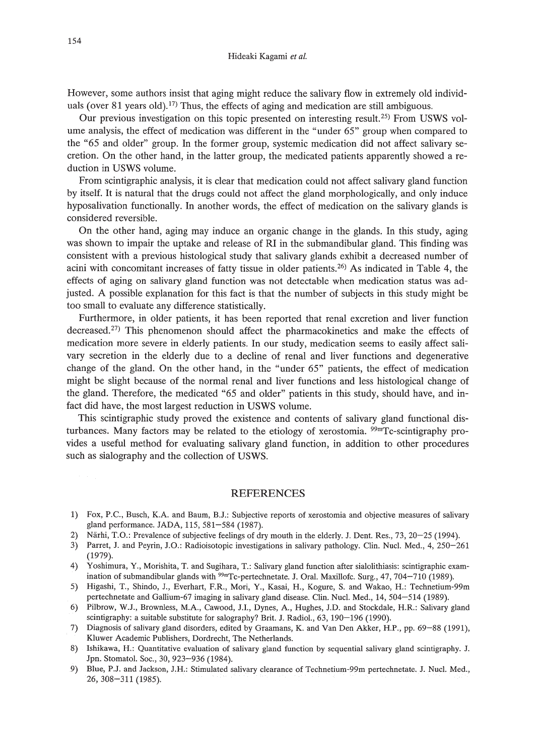However, some authors insist that aging might reduce the salivary flow in extremely old individuals (over 81 years old).<sup>17)</sup> Thus, the effects of aging and medication are still ambiguous.

Our previous investigation on this topic presented on interesting result.<sup>25)</sup> From USWS volume analysis, the effect of medication was different in the "under 65" group when compared to the "65 and older" group. In the former group, systemic medication did not affect salivary secretion. On the other hand, in the latter group, the medicated patients apparently showed a reduction in USWS volume.

From scintigraphic analysis, it is clear that medication could not affect salivary gland function by itself. It is natural that the drugs could not affect the gland morphologically, and only induce hyposalivation functionally. In another words, the effect of medication on the salivary glands is considered reversible.

On the other hand, aging may induce an organic change in the glands. In this study, aging was shown to impair the uptake and release of RI in the submandibular gland. This finding was consistent with a previous histological study that salivary glands exhibit a decreased number of acini with concomitant increases of fatty tissue in older patients. 26) As indicated in Table 4, the effects of aging on salivary gland function was not detectable when medication status was adjusted. A possible explanation for this fact is that the number of subjects in this study might be too small to evaluate any difference statistically.

Furthermore, in older patients, it has been reported that renal excretion and liver function decreased.<sup>27)</sup> This phenomenon should affect the pharmacokinetics and make the effects of medication more severe in elderly patients. In our study, medication seems to easily affect salivary secretion in the elderly due to a decline of renal and liver functions and degenerative change of the gland. On the other hand, in the "under 65" patients, the effect of medication might be slight because of the normal renal and liver functions and less histological change of the gland. Therefore, the medicated "65 and older" patients in this study, should have, and infact did have, the most largest reduction in USWS volume.

This scintigraphic study proved the existence and contents of salivary gland functional disturbances. Many factors may be related to the etiology of xerostomia. <sup>99m</sup>Tc-scintigraphy provides a useful method for evaluating salivary gland function, in addition to other procedures such as sialography and the collection of USWS.

#### REFERENCES

- 1) Fox, P.c., Busch, K.A. and Baum, B.J.: Subjective reports of xerostomia and objective measures of salivary gland performance. JADA, 115, 581-584 (1987).
- 2) Närhi, T.O.: Prevalence of subjective feelings of dry mouth in the elderly. J. Dent. Res., 73, 20–25 (1994).
- 3) Parret, J. and Peyrin, J.O.: Radioisotopic investigations in salivary pathology. Clin. Nucl. Med., 4, 250-261 (1979).
- 4) Yoshimura, Y, Morishita, T. and Sugihara, T.: Salivary gland function after sialolithiasis: scintigraphic examination of submandibular glands with <sup>99m</sup>Tc-pertechnetate. J. Oral. Maxillofc. Surg., 47, 704-710 (1989).
- 5) Higashi, T., Shindo, J., Everhart, F.R., Mori, Y., Kasai, H., Kogure, S. and Wakao, H.: Technetium-99m pertechnetate and Gallium-67 imaging in salivary gland disease. Clin. Nucl. Med., 14, 504-514 (1989).
- 6) Pilbrow, W.J., Brownless, M.A., Cawood, J.I., Dynes, A., Hughes, J.D. and Stockdale, H.R.: Salivary gland scintigraphy: a suitable substitute for salography? Brit. J. Radiol., 63, 190-196 (1990).
- 7) Diagnosis of salivary gland disorders, edited by Graamans, K. and Van Den Akker, H.P., pp. 69-88 (1991), Kluwer Academic Publishers, Dordrecht, The Netherlands.
- 8) Ishikawa, H.: Quantitative evaluation of salivary gland function by sequential salivary gland scintigraphy. J. Jpn. Stomatol. Soc., 30, 923-936 (1984).
- 9) Blue, PJ. and Jackson, J.H.: Stimulated salivary clearance of Technetium-99m pertechnetate. J. Nucl. Med., 26,308-311 (1985).